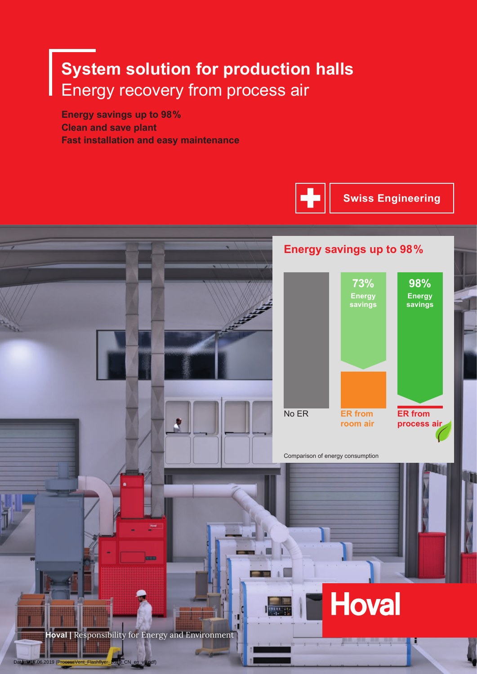## **System solution for production halls** Energy recovery from process air

**Energy savings up to 98 % Clean and save plant Fast installation and easy maintenance**